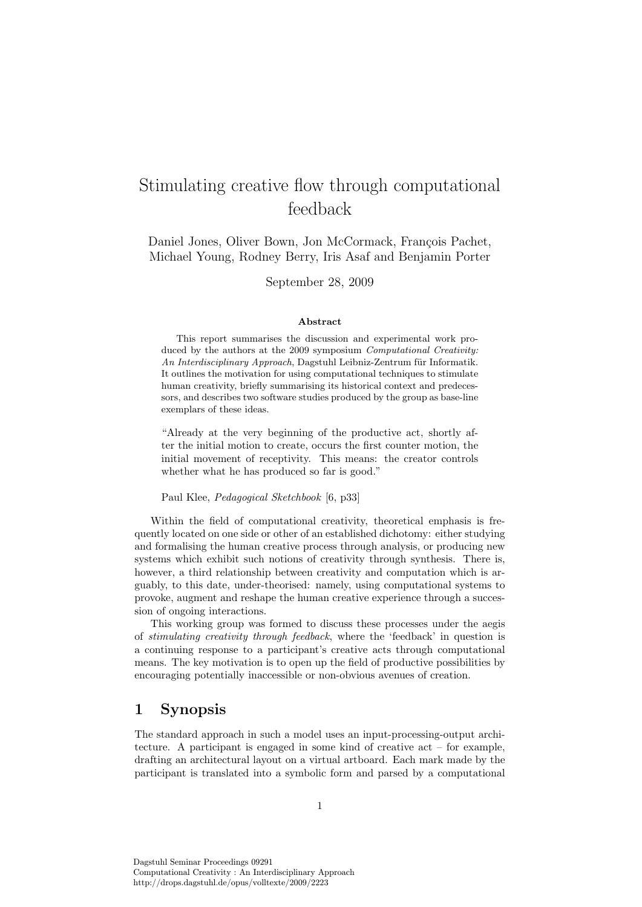# Stimulating creative flow through computational feedback

Daniel Jones, Oliver Bown, Jon McCormack, François Pachet, Michael Young, Rodney Berry, Iris Asaf and Benjamin Porter

September 28, 2009

#### Abstract

This report summarises the discussion and experimental work produced by the authors at the 2009 symposium *Computational Creativity:* An Interdisciplinary Approach, Dagstuhl Leibniz-Zentrum für Informatik. It outlines the motivation for using computational techniques to stimulate human creativity, briefly summarising its historical context and predecessors, and describes two software studies produced by the group as base-line exemplars of these ideas.

"Already at the very beginning of the productive act, shortly after the initial motion to create, occurs the first counter motion, the initial movement of receptivity. This means: the creator controls whether what he has produced so far is good."

Paul Klee, Pedagogical Sketchbook [6, p33]

Within the field of computational creativity, theoretical emphasis is frequently located on one side or other of an established dichotomy: either studying and formalising the human creative process through analysis, or producing new systems which exhibit such notions of creativity through synthesis. There is, however, a third relationship between creativity and computation which is arguably, to this date, under-theorised: namely, using computational systems to provoke, augment and reshape the human creative experience through a succession of ongoing interactions.

This working group was formed to discuss these processes under the aegis of stimulating creativity through feedback, where the 'feedback' in question is a continuing response to a participant's creative acts through computational means. The key motivation is to open up the field of productive possibilities by encouraging potentially inaccessible or non-obvious avenues of creation.

## 1 Synopsis

The standard approach in such a model uses an input-processing-output architecture. A participant is engaged in some kind of creative act – for example, drafting an architectural layout on a virtual artboard. Each mark made by the participant is translated into a symbolic form and parsed by a computational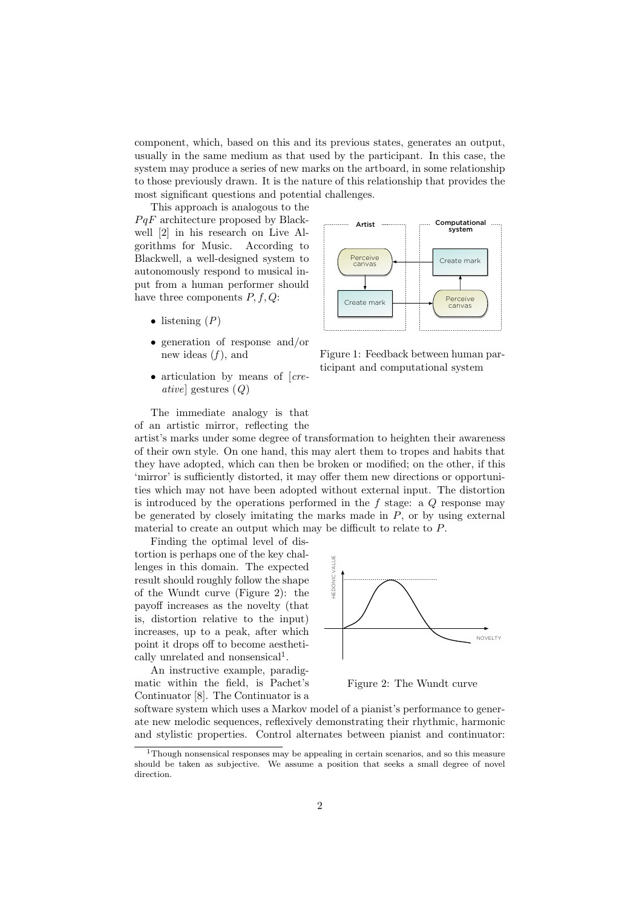component, which, based on this and its previous states, generates an output, usually in the same medium as that used by the participant. In this case, the system may produce a series of new marks on the artboard, in some relationship to those previously drawn. It is the nature of this relationship that provides the most significant questions and potential challenges.

This approach is analogous to the  $PqF$  architecture proposed by Blackwell [2] in his research on Live Algorithms for Music. According to Blackwell, a well-designed system to autonomously respond to musical input from a human performer should have three components  $P, f, Q$ :

- listening  $(P)$
- generation of response and/or new ideas  $(f)$ , and
- articulation by means of [creative] gestures (Q)



Figure 1: Feedback between human participant and computational system

The immediate analogy is that of an artistic mirror, reflecting the

artist's marks under some degree of transformation to heighten their awareness of their own style. On one hand, this may alert them to tropes and habits that they have adopted, which can then be broken or modified; on the other, if this 'mirror' is sufficiently distorted, it may offer them new directions or opportunities which may not have been adopted without external input. The distortion is introduced by the operations performed in the  $f$  stage: a  $Q$  response may be generated by closely imitating the marks made in  $P$ , or by using external material to create an output which may be difficult to relate to P.

Finding the optimal level of distortion is perhaps one of the key challenges in this domain. The expected result should roughly follow the shape of the Wundt curve (Figure 2): the payoff increases as the novelty (that is, distortion relative to the input) increases, up to a peak, after which point it drops off to become aesthetically unrelated and nonsensical<sup>1</sup>.

An instructive example, paradigmatic within the field, is Pachet's Continuator [8]. The Continuator is a



Figure 2: The Wundt curve

software system which uses a Markov model of a pianist's performance to generate new melodic sequences, reflexively demonstrating their rhythmic, harmonic and stylistic properties. Control alternates between pianist and continuator:

<sup>1</sup>Though nonsensical responses may be appealing in certain scenarios, and so this measure should be taken as subjective. We assume a position that seeks a small degree of novel direction.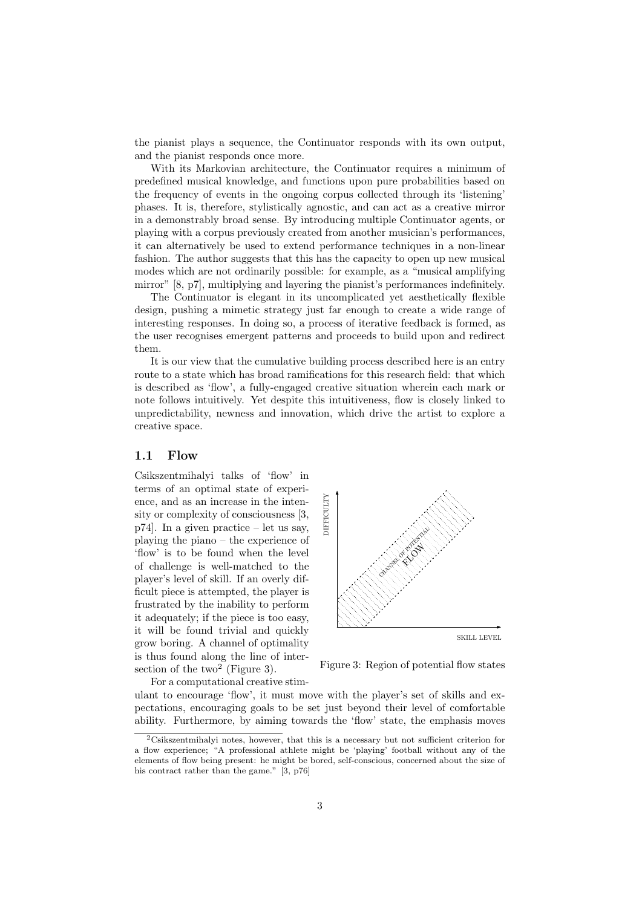the pianist plays a sequence, the Continuator responds with its own output, and the pianist responds once more.

With its Markovian architecture, the Continuator requires a minimum of predefined musical knowledge, and functions upon pure probabilities based on the frequency of events in the ongoing corpus collected through its 'listening' phases. It is, therefore, stylistically agnostic, and can act as a creative mirror in a demonstrably broad sense. By introducing multiple Continuator agents, or playing with a corpus previously created from another musician's performances, it can alternatively be used to extend performance techniques in a non-linear fashion. The author suggests that this has the capacity to open up new musical modes which are not ordinarily possible: for example, as a "musical amplifying mirror" [8, p7], multiplying and layering the pianist's performances indefinitely.

The Continuator is elegant in its uncomplicated yet aesthetically flexible design, pushing a mimetic strategy just far enough to create a wide range of interesting responses. In doing so, a process of iterative feedback is formed, as the user recognises emergent patterns and proceeds to build upon and redirect them.

It is our view that the cumulative building process described here is an entry route to a state which has broad ramifications for this research field: that which is described as 'flow', a fully-engaged creative situation wherein each mark or note follows intuitively. Yet despite this intuitiveness, flow is closely linked to unpredictability, newness and innovation, which drive the artist to explore a creative space.

#### 1.1 Flow

Csikszentmihalyi talks of 'flow' in terms of an optimal state of experience, and as an increase in the intensity or complexity of consciousness [3, p74]. In a given practice – let us say, playing the piano – the experience of 'flow' is to be found when the level of challenge is well-matched to the player's level of skill. If an overly difficult piece is attempted, the player is frustrated by the inability to perform it adequately; if the piece is too easy, it will be found trivial and quickly grow boring. A channel of optimality is thus found along the line of intersection of the two<sup>2</sup> (Figure 3).



Figure 3: Region of potential flow states

For a computational creative stimulant to encourage 'flow', it must move with the player's set of skills and expectations, encouraging goals to be set just beyond their level of comfortable ability. Furthermore, by aiming towards the 'flow' state, the emphasis moves

<sup>2</sup>Csikszentmihalyi notes, however, that this is a necessary but not sufficient criterion for a flow experience; "A professional athlete might be 'playing' football without any of the elements of flow being present: he might be bored, self-conscious, concerned about the size of his contract rather than the game." [3, p76]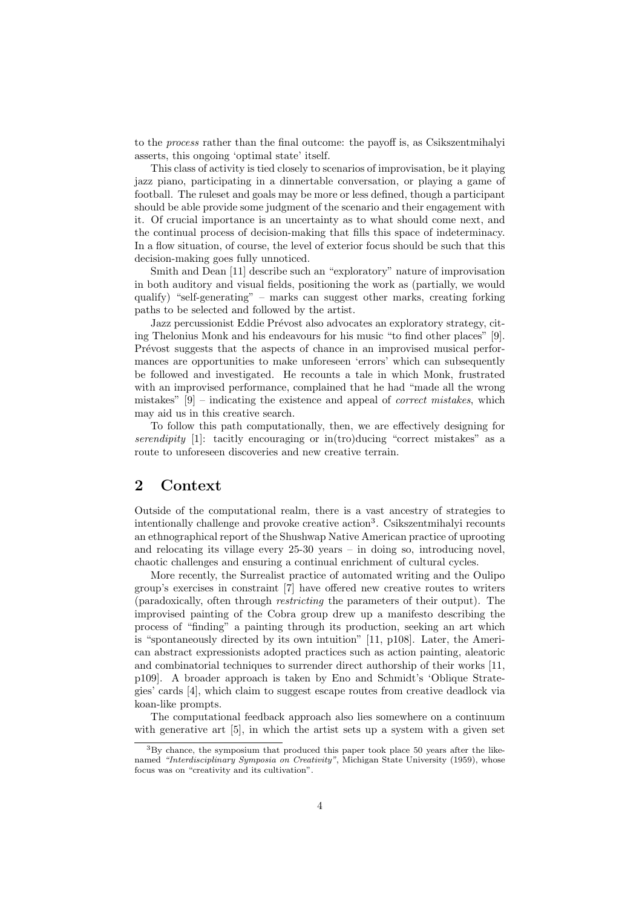to the process rather than the final outcome: the payoff is, as Csikszentmihalyi asserts, this ongoing 'optimal state' itself.

This class of activity is tied closely to scenarios of improvisation, be it playing jazz piano, participating in a dinnertable conversation, or playing a game of football. The ruleset and goals may be more or less defined, though a participant should be able provide some judgment of the scenario and their engagement with it. Of crucial importance is an uncertainty as to what should come next, and the continual process of decision-making that fills this space of indeterminacy. In a flow situation, of course, the level of exterior focus should be such that this decision-making goes fully unnoticed.

Smith and Dean [11] describe such an "exploratory" nature of improvisation in both auditory and visual fields, positioning the work as (partially, we would qualify) "self-generating" – marks can suggest other marks, creating forking paths to be selected and followed by the artist.

Jazz percussionist Eddie Prévost also advocates an exploratory strategy, citing Thelonius Monk and his endeavours for his music "to find other places" [9]. Prévost suggests that the aspects of chance in an improvised musical performances are opportunities to make unforeseen 'errors' which can subsequently be followed and investigated. He recounts a tale in which Monk, frustrated with an improvised performance, complained that he had "made all the wrong mistakes" [9] – indicating the existence and appeal of correct mistakes, which may aid us in this creative search.

To follow this path computationally, then, we are effectively designing for serendipity  $[1]$ : tacitly encouraging or in $(t)$ ducing "correct mistakes" as a route to unforeseen discoveries and new creative terrain.

## 2 Context

Outside of the computational realm, there is a vast ancestry of strategies to intentionally challenge and provoke creative action<sup>3</sup>. Csikszentmihalyi recounts an ethnographical report of the Shushwap Native American practice of uprooting and relocating its village every 25-30 years – in doing so, introducing novel, chaotic challenges and ensuring a continual enrichment of cultural cycles.

More recently, the Surrealist practice of automated writing and the Oulipo group's exercises in constraint [7] have offered new creative routes to writers (paradoxically, often through restricting the parameters of their output). The improvised painting of the Cobra group drew up a manifesto describing the process of "finding" a painting through its production, seeking an art which is "spontaneously directed by its own intuition" [11, p108]. Later, the American abstract expressionists adopted practices such as action painting, aleatoric and combinatorial techniques to surrender direct authorship of their works [11, p109]. A broader approach is taken by Eno and Schmidt's 'Oblique Strategies' cards [4], which claim to suggest escape routes from creative deadlock via koan-like prompts.

The computational feedback approach also lies somewhere on a continuum with generative art [5], in which the artist sets up a system with a given set

 $3By$  chance, the symposium that produced this paper took place 50 years after the likenamed "Interdisciplinary Symposia on Creativity", Michigan State University (1959), whose focus was on "creativity and its cultivation".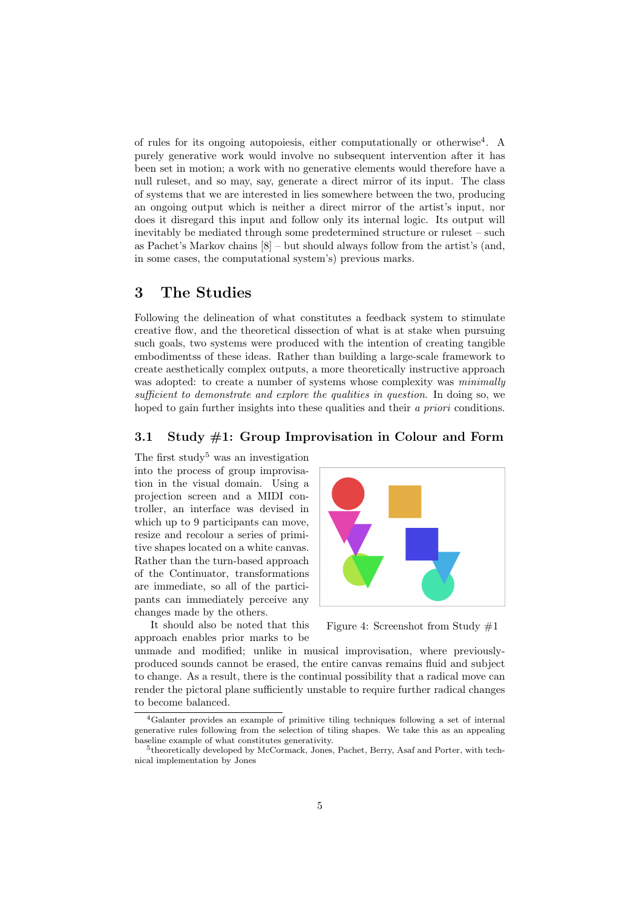of rules for its ongoing autopoiesis, either computationally or otherwise<sup>4</sup> . A purely generative work would involve no subsequent intervention after it has been set in motion; a work with no generative elements would therefore have a null ruleset, and so may, say, generate a direct mirror of its input. The class of systems that we are interested in lies somewhere between the two, producing an ongoing output which is neither a direct mirror of the artist's input, nor does it disregard this input and follow only its internal logic. Its output will inevitably be mediated through some predetermined structure or ruleset – such as Pachet's Markov chains [8] – but should always follow from the artist's (and, in some cases, the computational system's) previous marks.

# 3 The Studies

Following the delineation of what constitutes a feedback system to stimulate creative flow, and the theoretical dissection of what is at stake when pursuing such goals, two systems were produced with the intention of creating tangible embodimentss of these ideas. Rather than building a large-scale framework to create aesthetically complex outputs, a more theoretically instructive approach was adopted: to create a number of systems whose complexity was *minimally* sufficient to demonstrate and explore the qualities in question. In doing so, we hoped to gain further insights into these qualities and their *a priori* conditions.

#### 3.1 Study #1: Group Improvisation in Colour and Form

The first study<sup>5</sup> was an investigation into the process of group improvisation in the visual domain. Using a projection screen and a MIDI controller, an interface was devised in which up to 9 participants can move, resize and recolour a series of primitive shapes located on a white canvas. Rather than the turn-based approach of the Continuator, transformations are immediate, so all of the participants can immediately perceive any changes made by the others.

It should also be noted that this approach enables prior marks to be



Figure 4: Screenshot from Study #1

unmade and modified; unlike in musical improvisation, where previouslyproduced sounds cannot be erased, the entire canvas remains fluid and subject to change. As a result, there is the continual possibility that a radical move can render the pictoral plane sufficiently unstable to require further radical changes to become balanced.

<sup>4</sup>Galanter provides an example of primitive tiling techniques following a set of internal generative rules following from the selection of tiling shapes. We take this as an appealing baseline example of what constitutes generativity.

<sup>5</sup> theoretically developed by McCormack, Jones, Pachet, Berry, Asaf and Porter, with technical implementation by Jones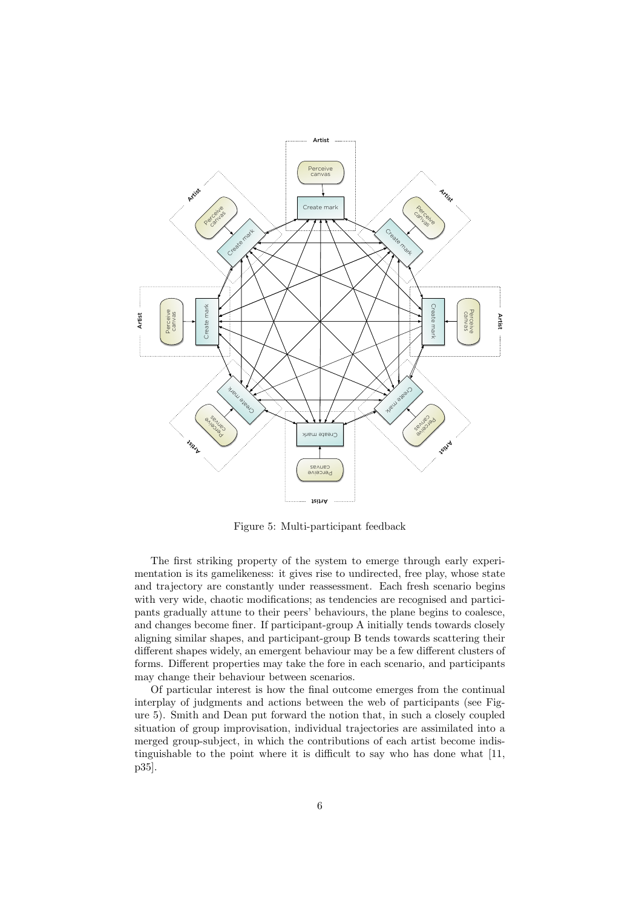

Figure 5: Multi-participant feedback

The first striking property of the system to emerge through early experimentation is its gamelikeness: it gives rise to undirected, free play, whose state and trajectory are constantly under reassessment. Each fresh scenario begins with very wide, chaotic modifications; as tendencies are recognised and participants gradually attune to their peers' behaviours, the plane begins to coalesce, and changes become finer. If participant-group A initially tends towards closely aligning similar shapes, and participant-group B tends towards scattering their different shapes widely, an emergent behaviour may be a few different clusters of forms. Different properties may take the fore in each scenario, and participants may change their behaviour between scenarios.

Of particular interest is how the final outcome emerges from the continual interplay of judgments and actions between the web of participants (see Figure 5). Smith and Dean put forward the notion that, in such a closely coupled situation of group improvisation, individual trajectories are assimilated into a merged group-subject, in which the contributions of each artist become indistinguishable to the point where it is difficult to say who has done what [11, p35].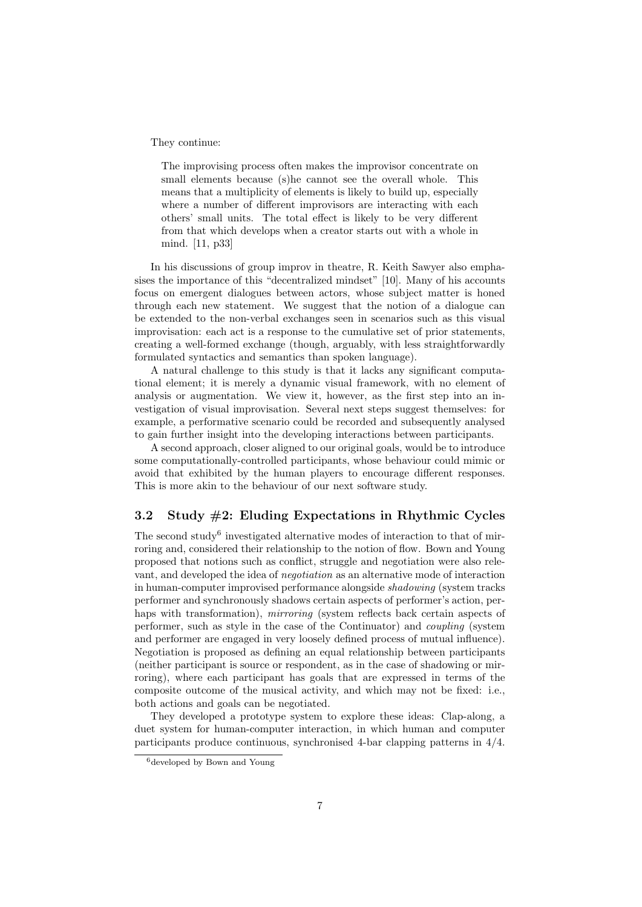#### They continue:

The improvising process often makes the improvisor concentrate on small elements because (s)he cannot see the overall whole. This means that a multiplicity of elements is likely to build up, especially where a number of different improvisors are interacting with each others' small units. The total effect is likely to be very different from that which develops when a creator starts out with a whole in mind. [11, p33]

In his discussions of group improv in theatre, R. Keith Sawyer also emphasises the importance of this "decentralized mindset" [10]. Many of his accounts focus on emergent dialogues between actors, whose subject matter is honed through each new statement. We suggest that the notion of a dialogue can be extended to the non-verbal exchanges seen in scenarios such as this visual improvisation: each act is a response to the cumulative set of prior statements, creating a well-formed exchange (though, arguably, with less straightforwardly formulated syntactics and semantics than spoken language).

A natural challenge to this study is that it lacks any significant computational element; it is merely a dynamic visual framework, with no element of analysis or augmentation. We view it, however, as the first step into an investigation of visual improvisation. Several next steps suggest themselves: for example, a performative scenario could be recorded and subsequently analysed to gain further insight into the developing interactions between participants.

A second approach, closer aligned to our original goals, would be to introduce some computationally-controlled participants, whose behaviour could mimic or avoid that exhibited by the human players to encourage different responses. This is more akin to the behaviour of our next software study.

## 3.2 Study #2: Eluding Expectations in Rhythmic Cycles

The second study<sup>6</sup> investigated alternative modes of interaction to that of mirroring and, considered their relationship to the notion of flow. Bown and Young proposed that notions such as conflict, struggle and negotiation were also relevant, and developed the idea of negotiation as an alternative mode of interaction in human-computer improvised performance alongside shadowing (system tracks performer and synchronously shadows certain aspects of performer's action, perhaps with transformation), *mirroring* (system reflects back certain aspects of performer, such as style in the case of the Continuator) and coupling (system and performer are engaged in very loosely defined process of mutual influence). Negotiation is proposed as defining an equal relationship between participants (neither participant is source or respondent, as in the case of shadowing or mirroring), where each participant has goals that are expressed in terms of the composite outcome of the musical activity, and which may not be fixed: i.e., both actions and goals can be negotiated.

They developed a prototype system to explore these ideas: Clap-along, a duet system for human-computer interaction, in which human and computer participants produce continuous, synchronised 4-bar clapping patterns in 4/4.

<sup>6</sup>developed by Bown and Young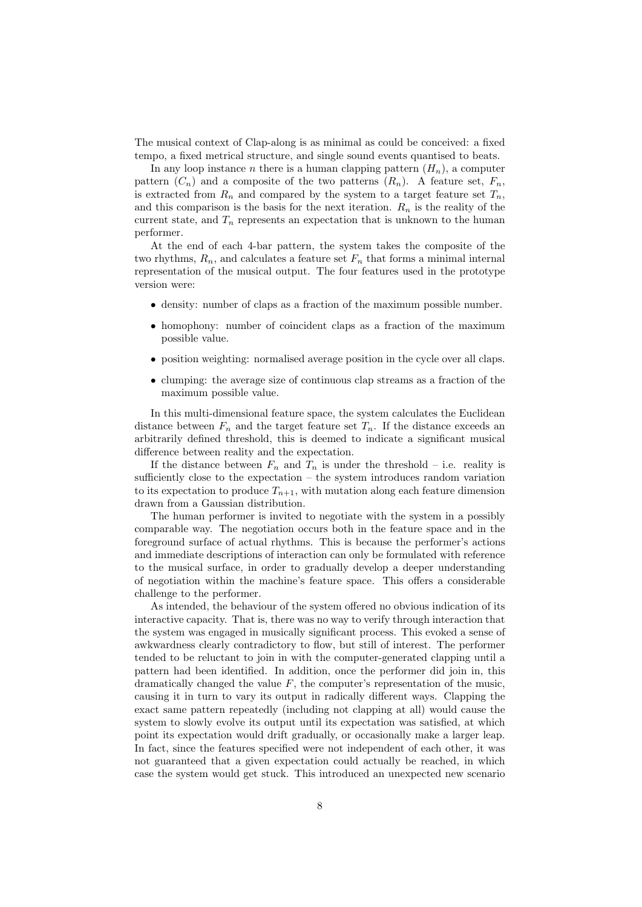The musical context of Clap-along is as minimal as could be conceived: a fixed tempo, a fixed metrical structure, and single sound events quantised to beats.

In any loop instance n there is a human clapping pattern  $(H_n)$ , a computer pattern  $(C_n)$  and a composite of the two patterns  $(R_n)$ . A feature set,  $F_n$ , is extracted from  $R_n$  and compared by the system to a target feature set  $T_n$ , and this comparison is the basis for the next iteration.  $R_n$  is the reality of the current state, and  $T_n$  represents an expectation that is unknown to the human performer.

At the end of each 4-bar pattern, the system takes the composite of the two rhythms,  $R_n$ , and calculates a feature set  $F_n$  that forms a minimal internal representation of the musical output. The four features used in the prototype version were:

- density: number of claps as a fraction of the maximum possible number.
- homophony: number of coincident claps as a fraction of the maximum possible value.
- position weighting: normalised average position in the cycle over all claps.
- clumping: the average size of continuous clap streams as a fraction of the maximum possible value.

In this multi-dimensional feature space, the system calculates the Euclidean distance between  $F_n$  and the target feature set  $T_n$ . If the distance exceeds an arbitrarily defined threshold, this is deemed to indicate a significant musical difference between reality and the expectation.

If the distance between  $F_n$  and  $T_n$  is under the threshold – i.e. reality is sufficiently close to the expectation – the system introduces random variation to its expectation to produce  $T_{n+1}$ , with mutation along each feature dimension drawn from a Gaussian distribution.

The human performer is invited to negotiate with the system in a possibly comparable way. The negotiation occurs both in the feature space and in the foreground surface of actual rhythms. This is because the performer's actions and immediate descriptions of interaction can only be formulated with reference to the musical surface, in order to gradually develop a deeper understanding of negotiation within the machine's feature space. This offers a considerable challenge to the performer.

As intended, the behaviour of the system offered no obvious indication of its interactive capacity. That is, there was no way to verify through interaction that the system was engaged in musically significant process. This evoked a sense of awkwardness clearly contradictory to flow, but still of interest. The performer tended to be reluctant to join in with the computer-generated clapping until a pattern had been identified. In addition, once the performer did join in, this dramatically changed the value  $F$ , the computer's representation of the music, causing it in turn to vary its output in radically different ways. Clapping the exact same pattern repeatedly (including not clapping at all) would cause the system to slowly evolve its output until its expectation was satisfied, at which point its expectation would drift gradually, or occasionally make a larger leap. In fact, since the features specified were not independent of each other, it was not guaranteed that a given expectation could actually be reached, in which case the system would get stuck. This introduced an unexpected new scenario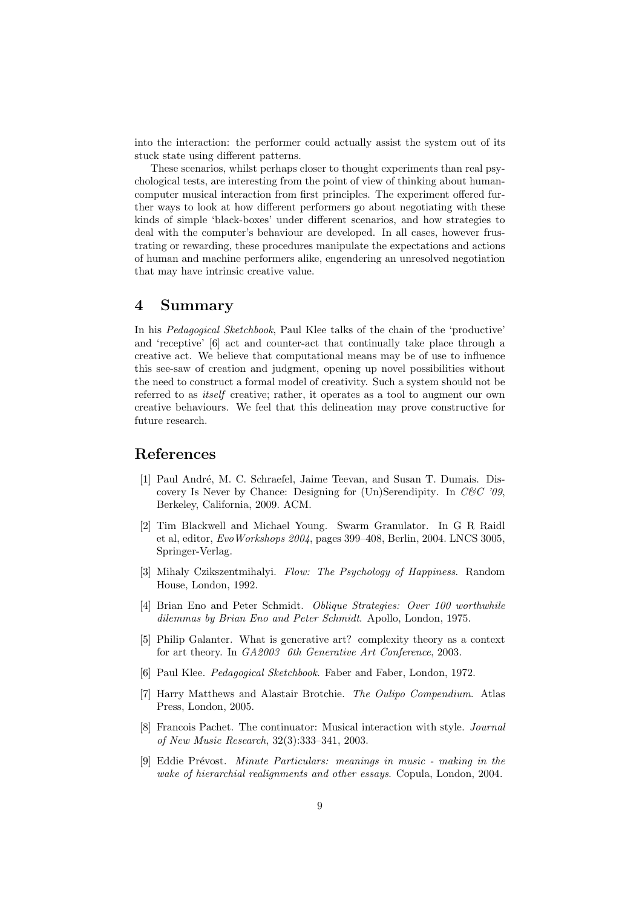into the interaction: the performer could actually assist the system out of its stuck state using different patterns.

These scenarios, whilst perhaps closer to thought experiments than real psychological tests, are interesting from the point of view of thinking about humancomputer musical interaction from first principles. The experiment offered further ways to look at how different performers go about negotiating with these kinds of simple 'black-boxes' under different scenarios, and how strategies to deal with the computer's behaviour are developed. In all cases, however frustrating or rewarding, these procedures manipulate the expectations and actions of human and machine performers alike, engendering an unresolved negotiation that may have intrinsic creative value.

### 4 Summary

In his Pedagogical Sketchbook, Paul Klee talks of the chain of the 'productive' and 'receptive' [6] act and counter-act that continually take place through a creative act. We believe that computational means may be of use to influence this see-saw of creation and judgment, opening up novel possibilities without the need to construct a formal model of creativity. Such a system should not be referred to as *itself* creative; rather, it operates as a tool to augment our own creative behaviours. We feel that this delineation may prove constructive for future research.

## References

- [1] Paul André, M. C. Schraefel, Jaime Teevan, and Susan T. Dumais. Discovery Is Never by Chance: Designing for  $(Un)$ Serendipity. In  $C\&C$  '09, Berkeley, California, 2009. ACM.
- [2] Tim Blackwell and Michael Young. Swarm Granulator. In G R Raidl et al, editor, EvoWorkshops 2004, pages 399–408, Berlin, 2004. LNCS 3005, Springer-Verlag.
- [3] Mihaly Czikszentmihalyi. Flow: The Psychology of Happiness. Random House, London, 1992.
- [4] Brian Eno and Peter Schmidt. Oblique Strategies: Over 100 worthwhile dilemmas by Brian Eno and Peter Schmidt. Apollo, London, 1975.
- [5] Philip Galanter. What is generative art? complexity theory as a context for art theory. In GA2003 6th Generative Art Conference, 2003.
- [6] Paul Klee. Pedagogical Sketchbook. Faber and Faber, London, 1972.
- [7] Harry Matthews and Alastair Brotchie. The Oulipo Compendium. Atlas Press, London, 2005.
- [8] Francois Pachet. The continuator: Musical interaction with style. Journal of New Music Research, 32(3):333–341, 2003.
- [9] Eddie Prévost. Minute Particulars: meanings in music making in the wake of hierarchial realignments and other essays. Copula, London, 2004.